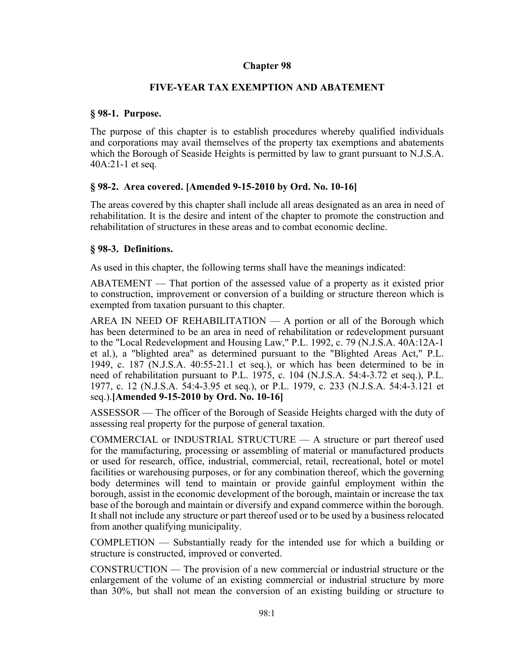# **Chapter 98**

# **FIVE-YEAR TAX EXEMPTION AND ABATEMENT**

# **§ 98-1. Purpose.**

The purpose of this chapter is to establish procedures whereby qualified individuals and corporations may avail themselves of the property tax exemptions and abatements which the Borough of Seaside Heights is permitted by law to grant pursuant to N.J.S.A. 40A:21-1 et seq.

# **§ 98-2. Area covered. [Amended 9-15-2010 by Ord. No. 10-16]**

The areas covered by this chapter shall include all areas designated as an area in need of rehabilitation. It is the desire and intent of the chapter to promote the construction and rehabilitation of structures in these areas and to combat economic decline.

# **§ 98-3. Definitions.**

As used in this chapter, the following terms shall have the meanings indicated:

ABATEMENT — That portion of the assessed value of a property as it existed prior to construction, improvement or conversion of a building or structure thereon which is exempted from taxation pursuant to this chapter.

AREA IN NEED OF REHABILITATION — A portion or all of the Borough which has been determined to be an area in need of rehabilitation or redevelopment pursuant to the "Local Redevelopment and Housing Law," P.L. 1992, c. 79 (N.J.S.A. 40A:12A-1 et al.), a "blighted area" as determined pursuant to the "Blighted Areas Act," P.L. 1949, c. 187 (N.J.S.A. 40:55-21.1 et seq.), or which has been determined to be in need of rehabilitation pursuant to P.L. 1975, c. 104 (N.J.S.A. 54:4-3.72 et seq.), P.L. 1977, c. 12 (N.J.S.A. 54:4-3.95 et seq.), or P.L. 1979, c. 233 (N.J.S.A. 54:4-3.121 et seq.).**[Amended 9-15-2010 by Ord. No. 10-16]**

ASSESSOR — The officer of the Borough of Seaside Heights charged with the duty of assessing real property for the purpose of general taxation.

COMMERCIAL or INDUSTRIAL STRUCTURE — A structure or part thereof used for the manufacturing, processing or assembling of material or manufactured products or used for research, office, industrial, commercial, retail, recreational, hotel or motel facilities or warehousing purposes, or for any combination thereof, which the governing body determines will tend to maintain or provide gainful employment within the borough, assist in the economic development of the borough, maintain or increase the tax base of the borough and maintain or diversify and expand commerce within the borough. It shall not include any structure or part thereof used or to be used by a business relocated from another qualifying municipality.

COMPLETION — Substantially ready for the intended use for which a building or structure is constructed, improved or converted.

CONSTRUCTION — The provision of a new commercial or industrial structure or the enlargement of the volume of an existing commercial or industrial structure by more than 30%, but shall not mean the conversion of an existing building or structure to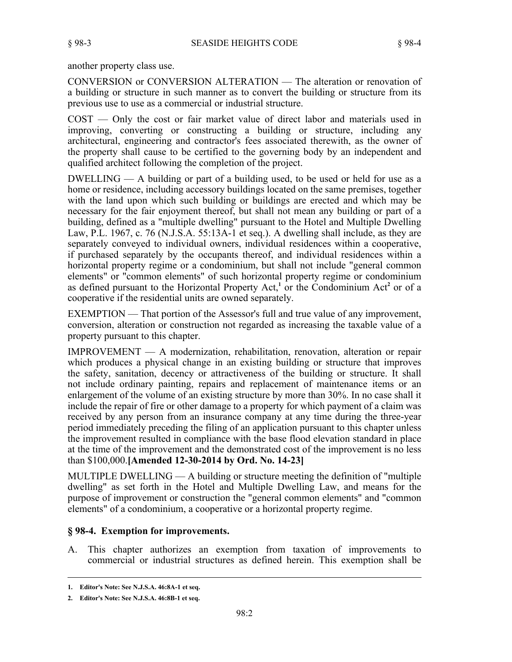another property class use.

CONVERSION or CONVERSION ALTERATION — The alteration or renovation of a building or structure in such manner as to convert the building or structure from its previous use to use as a commercial or industrial structure.

COST — Only the cost or fair market value of direct labor and materials used in improving, converting or constructing a building or structure, including any architectural, engineering and contractor's fees associated therewith, as the owner of the property shall cause to be certified to the governing body by an independent and qualified architect following the completion of the project.

DWELLING — A building or part of a building used, to be used or held for use as a home or residence, including accessory buildings located on the same premises, together with the land upon which such building or buildings are erected and which may be necessary for the fair enjoyment thereof, but shall not mean any building or part of a building, defined as a "multiple dwelling" pursuant to the Hotel and Multiple Dwelling Law, P.L. 1967, c. 76 (N.J.S.A. 55:13A-1 et seq.). A dwelling shall include, as they are separately conveyed to individual owners, individual residences within a cooperative, if purchased separately by the occupants thereof, and individual residences within a horizontal property regime or a condominium, but shall not include "general common elements" or "common elements" of such horizontal property regime or condominium as defined pursuant to the Horizontal Property Act,**<sup>1</sup>** or the Condominium Act**<sup>2</sup>** or of a cooperative if the residential units are owned separately.

EXEMPTION — That portion of the Assessor's full and true value of any improvement, conversion, alteration or construction not regarded as increasing the taxable value of a property pursuant to this chapter.

IMPROVEMENT — A modernization, rehabilitation, renovation, alteration or repair which produces a physical change in an existing building or structure that improves the safety, sanitation, decency or attractiveness of the building or structure. It shall not include ordinary painting, repairs and replacement of maintenance items or an enlargement of the volume of an existing structure by more than 30%. In no case shall it include the repair of fire or other damage to a property for which payment of a claim was received by any person from an insurance company at any time during the three-year period immediately preceding the filing of an application pursuant to this chapter unless the improvement resulted in compliance with the base flood elevation standard in place at the time of the improvement and the demonstrated cost of the improvement is no less than \$100,000.**[Amended 12-30-2014 by Ord. No. 14-23]**

MULTIPLE DWELLING — A building or structure meeting the definition of "multiple dwelling" as set forth in the Hotel and Multiple Dwelling Law, and means for the purpose of improvement or construction the "general common elements" and "common elements" of a condominium, a cooperative or a horizontal property regime.

## **§ 98-4. Exemption for improvements.**

A. This chapter authorizes an exemption from taxation of improvements to commercial or industrial structures as defined herein. This exemption shall be

**<sup>1.</sup> Editor's Note: See N.J.S.A. 46:8A-1 et seq.**

**<sup>2.</sup> Editor's Note: See N.J.S.A. 46:8B-1 et seq.**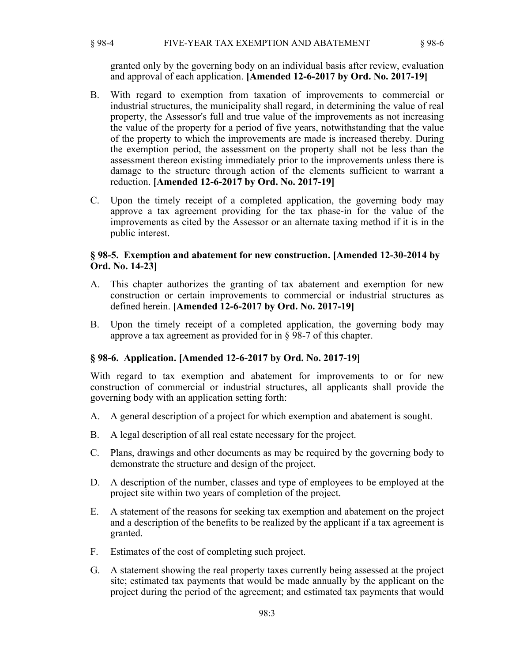§ 98-4 FIVE-YEAR TAX EXEMPTION AND ABATEMENT § 98-6

granted only by the governing body on an individual basis after review, evaluation and approval of each application. **[Amended 12-6-2017 by Ord. No. 2017-19]**

- B. With regard to exemption from taxation of improvements to commercial or industrial structures, the municipality shall regard, in determining the value of real property, the Assessor's full and true value of the improvements as not increasing the value of the property for a period of five years, notwithstanding that the value of the property to which the improvements are made is increased thereby. During the exemption period, the assessment on the property shall not be less than the assessment thereon existing immediately prior to the improvements unless there is damage to the structure through action of the elements sufficient to warrant a reduction. **[Amended 12-6-2017 by Ord. No. 2017-19]**
- C. Upon the timely receipt of a completed application, the governing body may approve a tax agreement providing for the tax phase-in for the value of the improvements as cited by the Assessor or an alternate taxing method if it is in the public interest.

## **§ 98-5. Exemption and abatement for new construction. [Amended 12-30-2014 by Ord. No. 14-23]**

- A. This chapter authorizes the granting of tax abatement and exemption for new construction or certain improvements to commercial or industrial structures as defined herein. **[Amended 12-6-2017 by Ord. No. 2017-19]**
- B. Upon the timely receipt of a completed application, the governing body may approve a tax agreement as provided for in § 98-7 of this chapter.

## **§ 98-6. Application. [Amended 12-6-2017 by Ord. No. 2017-19]**

With regard to tax exemption and abatement for improvements to or for new construction of commercial or industrial structures, all applicants shall provide the governing body with an application setting forth:

- A. A general description of a project for which exemption and abatement is sought.
- B. A legal description of all real estate necessary for the project.
- C. Plans, drawings and other documents as may be required by the governing body to demonstrate the structure and design of the project.
- D. A description of the number, classes and type of employees to be employed at the project site within two years of completion of the project.
- E. A statement of the reasons for seeking tax exemption and abatement on the project and a description of the benefits to be realized by the applicant if a tax agreement is granted.
- F. Estimates of the cost of completing such project.
- G. A statement showing the real property taxes currently being assessed at the project site; estimated tax payments that would be made annually by the applicant on the project during the period of the agreement; and estimated tax payments that would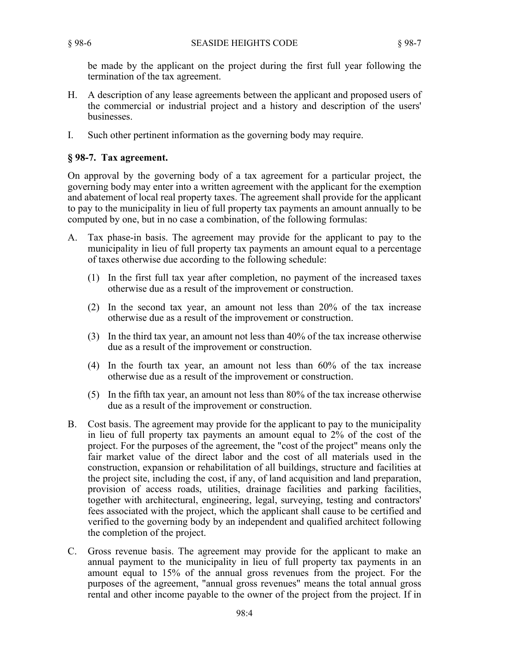be made by the applicant on the project during the first full year following the termination of the tax agreement.

- H. A description of any lease agreements between the applicant and proposed users of the commercial or industrial project and a history and description of the users' businesses.
- I. Such other pertinent information as the governing body may require.

# **§ 98-7. Tax agreement.**

On approval by the governing body of a tax agreement for a particular project, the governing body may enter into a written agreement with the applicant for the exemption and abatement of local real property taxes. The agreement shall provide for the applicant to pay to the municipality in lieu of full property tax payments an amount annually to be computed by one, but in no case a combination, of the following formulas:

- A. Tax phase-in basis. The agreement may provide for the applicant to pay to the municipality in lieu of full property tax payments an amount equal to a percentage of taxes otherwise due according to the following schedule:
	- (1) In the first full tax year after completion, no payment of the increased taxes otherwise due as a result of the improvement or construction.
	- (2) In the second tax year, an amount not less than 20% of the tax increase otherwise due as a result of the improvement or construction.
	- (3) In the third tax year, an amount not less than 40% of the tax increase otherwise due as a result of the improvement or construction.
	- (4) In the fourth tax year, an amount not less than 60% of the tax increase otherwise due as a result of the improvement or construction.
	- (5) In the fifth tax year, an amount not less than 80% of the tax increase otherwise due as a result of the improvement or construction.
- B. Cost basis. The agreement may provide for the applicant to pay to the municipality in lieu of full property tax payments an amount equal to 2% of the cost of the project. For the purposes of the agreement, the "cost of the project" means only the fair market value of the direct labor and the cost of all materials used in the construction, expansion or rehabilitation of all buildings, structure and facilities at the project site, including the cost, if any, of land acquisition and land preparation, provision of access roads, utilities, drainage facilities and parking facilities, together with architectural, engineering, legal, surveying, testing and contractors' fees associated with the project, which the applicant shall cause to be certified and verified to the governing body by an independent and qualified architect following the completion of the project.
- C. Gross revenue basis. The agreement may provide for the applicant to make an annual payment to the municipality in lieu of full property tax payments in an amount equal to 15% of the annual gross revenues from the project. For the purposes of the agreement, "annual gross revenues" means the total annual gross rental and other income payable to the owner of the project from the project. If in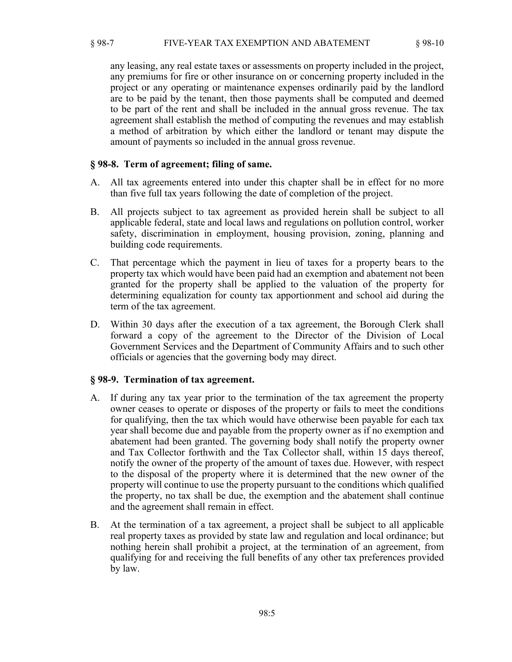any leasing, any real estate taxes or assessments on property included in the project, any premiums for fire or other insurance on or concerning property included in the project or any operating or maintenance expenses ordinarily paid by the landlord are to be paid by the tenant, then those payments shall be computed and deemed to be part of the rent and shall be included in the annual gross revenue. The tax agreement shall establish the method of computing the revenues and may establish a method of arbitration by which either the landlord or tenant may dispute the amount of payments so included in the annual gross revenue.

### **§ 98-8. Term of agreement; filing of same.**

- A. All tax agreements entered into under this chapter shall be in effect for no more than five full tax years following the date of completion of the project.
- B. All projects subject to tax agreement as provided herein shall be subject to all applicable federal, state and local laws and regulations on pollution control, worker safety, discrimination in employment, housing provision, zoning, planning and building code requirements.
- C. That percentage which the payment in lieu of taxes for a property bears to the property tax which would have been paid had an exemption and abatement not been granted for the property shall be applied to the valuation of the property for determining equalization for county tax apportionment and school aid during the term of the tax agreement.
- D. Within 30 days after the execution of a tax agreement, the Borough Clerk shall forward a copy of the agreement to the Director of the Division of Local Government Services and the Department of Community Affairs and to such other officials or agencies that the governing body may direct.

#### **§ 98-9. Termination of tax agreement.**

- A. If during any tax year prior to the termination of the tax agreement the property owner ceases to operate or disposes of the property or fails to meet the conditions for qualifying, then the tax which would have otherwise been payable for each tax year shall become due and payable from the property owner as if no exemption and abatement had been granted. The governing body shall notify the property owner and Tax Collector forthwith and the Tax Collector shall, within 15 days thereof, notify the owner of the property of the amount of taxes due. However, with respect to the disposal of the property where it is determined that the new owner of the property will continue to use the property pursuant to the conditions which qualified the property, no tax shall be due, the exemption and the abatement shall continue and the agreement shall remain in effect.
- B. At the termination of a tax agreement, a project shall be subject to all applicable real property taxes as provided by state law and regulation and local ordinance; but nothing herein shall prohibit a project, at the termination of an agreement, from qualifying for and receiving the full benefits of any other tax preferences provided by law.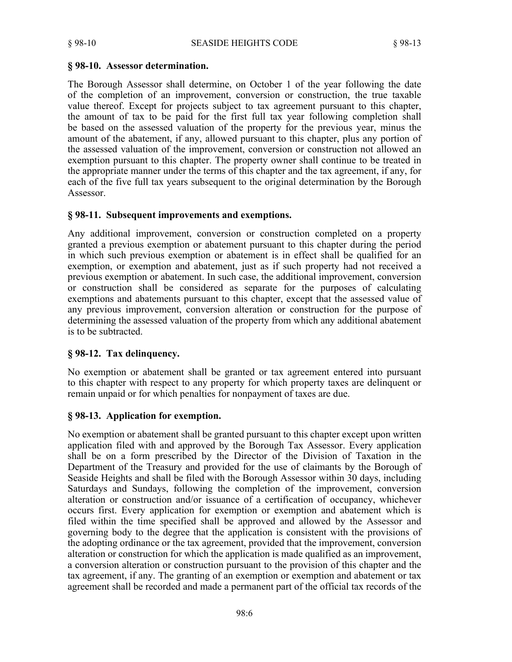### **§ 98-10. Assessor determination.**

The Borough Assessor shall determine, on October 1 of the year following the date of the completion of an improvement, conversion or construction, the true taxable value thereof. Except for projects subject to tax agreement pursuant to this chapter, the amount of tax to be paid for the first full tax year following completion shall be based on the assessed valuation of the property for the previous year, minus the amount of the abatement, if any, allowed pursuant to this chapter, plus any portion of the assessed valuation of the improvement, conversion or construction not allowed an exemption pursuant to this chapter. The property owner shall continue to be treated in the appropriate manner under the terms of this chapter and the tax agreement, if any, for each of the five full tax years subsequent to the original determination by the Borough Assessor.

## **§ 98-11. Subsequent improvements and exemptions.**

Any additional improvement, conversion or construction completed on a property granted a previous exemption or abatement pursuant to this chapter during the period in which such previous exemption or abatement is in effect shall be qualified for an exemption, or exemption and abatement, just as if such property had not received a previous exemption or abatement. In such case, the additional improvement, conversion or construction shall be considered as separate for the purposes of calculating exemptions and abatements pursuant to this chapter, except that the assessed value of any previous improvement, conversion alteration or construction for the purpose of determining the assessed valuation of the property from which any additional abatement is to be subtracted.

## **§ 98-12. Tax delinquency.**

No exemption or abatement shall be granted or tax agreement entered into pursuant to this chapter with respect to any property for which property taxes are delinquent or remain unpaid or for which penalties for nonpayment of taxes are due.

## **§ 98-13. Application for exemption.**

No exemption or abatement shall be granted pursuant to this chapter except upon written application filed with and approved by the Borough Tax Assessor. Every application shall be on a form prescribed by the Director of the Division of Taxation in the Department of the Treasury and provided for the use of claimants by the Borough of Seaside Heights and shall be filed with the Borough Assessor within 30 days, including Saturdays and Sundays, following the completion of the improvement, conversion alteration or construction and/or issuance of a certification of occupancy, whichever occurs first. Every application for exemption or exemption and abatement which is filed within the time specified shall be approved and allowed by the Assessor and governing body to the degree that the application is consistent with the provisions of the adopting ordinance or the tax agreement, provided that the improvement, conversion alteration or construction for which the application is made qualified as an improvement, a conversion alteration or construction pursuant to the provision of this chapter and the tax agreement, if any. The granting of an exemption or exemption and abatement or tax agreement shall be recorded and made a permanent part of the official tax records of the